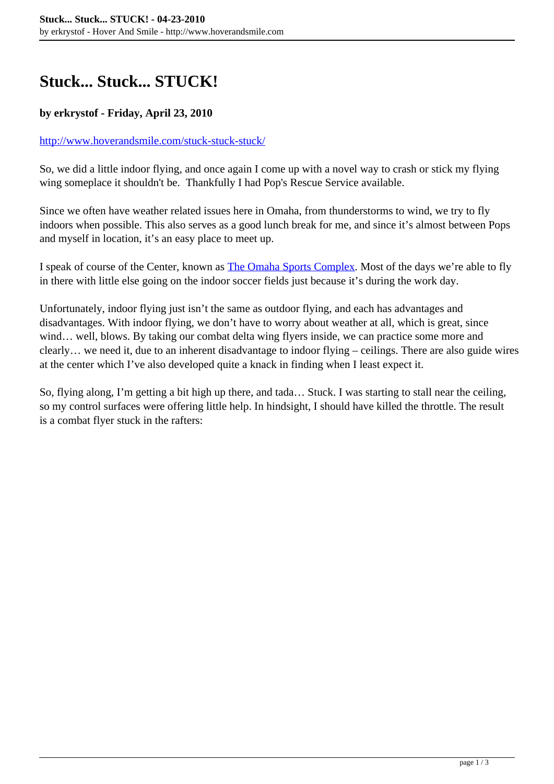## **Stuck... Stuck... STUCK!**

## **by erkrystof - Friday, April 23, 2010**

## <http://www.hoverandsmile.com/stuck-stuck-stuck/>

So, we did a little indoor flying, and once again I come up with a novel way to crash or stick my flying wing someplace it shouldn't be. Thankfully I had Pop's Rescue Service available.

Since we often have weather related issues here in Omaha, from thunderstorms to wind, we try to fly indoors when possible. This also serves as a good lunch break for me, and since it's almost between Pops and myself in location, it's an easy place to meet up.

I speak of course of the Center, known as [The Omaha Sports Complex](http://www.omahasportscomplex.com/). Most of the days we're able to fly in there with little else going on the indoor soccer fields just because it's during the work day.

Unfortunately, indoor flying just isn't the same as outdoor flying, and each has advantages and disadvantages. With indoor flying, we don't have to worry about weather at all, which is great, since wind... well, blows. By taking our combat delta wing flyers inside, we can practice some more and clearly… we need it, due to an inherent disadvantage to indoor flying – ceilings. There are also guide wires at the center which I've also developed quite a knack in finding when I least expect it.

So, flying along, I'm getting a bit high up there, and tada… Stuck. I was starting to stall near the ceiling, so my control surfaces were offering little help. In hindsight, I should have killed the throttle. The result is a combat flyer stuck in the rafters: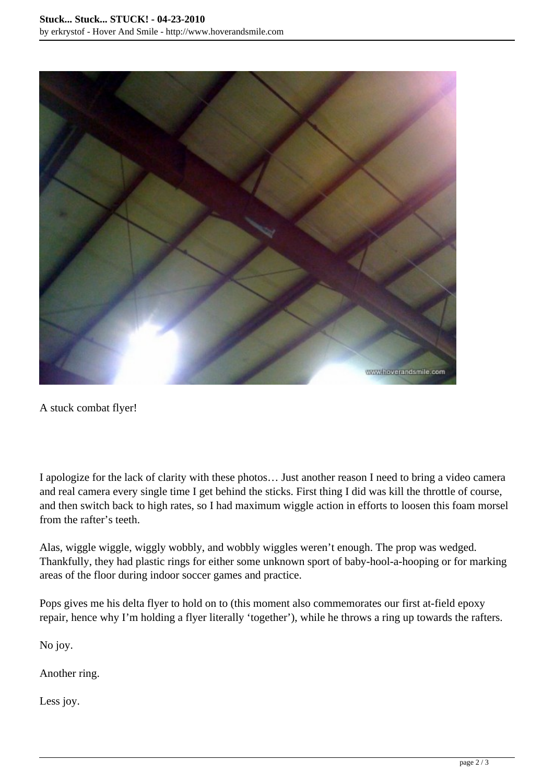

A stuck combat flyer!

I apologize for the lack of clarity with these photos… Just another reason I need to bring a video camera and real camera every single time I get behind the sticks. First thing I did was kill the throttle of course, and then switch back to high rates, so I had maximum wiggle action in efforts to loosen this foam morsel from the rafter's teeth.

Alas, wiggle wiggle, wiggly wobbly, and wobbly wiggles weren't enough. The prop was wedged. Thankfully, they had plastic rings for either some unknown sport of baby-hool-a-hooping or for marking areas of the floor during indoor soccer games and practice.

Pops gives me his delta flyer to hold on to (this moment also commemorates our first at-field epoxy repair, hence why I'm holding a flyer literally 'together'), while he throws a ring up towards the rafters.

No joy.

Another ring.

Less joy.